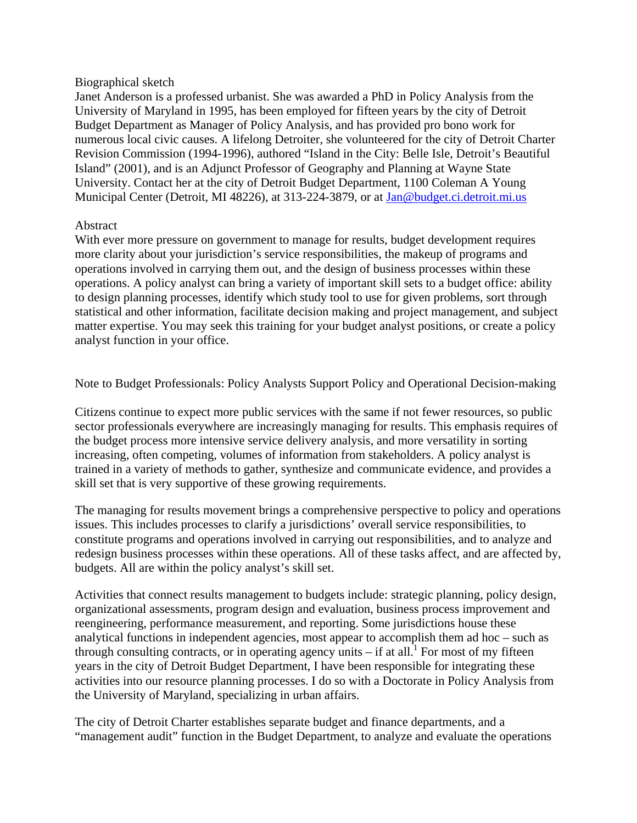#### Biographical sketch

Janet Anderson is a professed urbanist. She was awarded a PhD in Policy Analysis from the University of Maryland in 1995, has been employed for fifteen years by the city of Detroit Budget Department as Manager of Policy Analysis, and has provided pro bono work for numerous local civic causes. A lifelong Detroiter, she volunteered for the city of Detroit Charter Revision Commission (1994-1996), authored "Island in the City: Belle Isle, Detroit's Beautiful Island" (2001), and is an Adjunct Professor of Geography and Planning at Wayne State University. Contact her at the city of Detroit Budget Department, 1100 Coleman A Young Municipal Center (Detroit, MI 48226), at 313-224-3879, or at [Jan@budget.ci.detroit.mi.us](mailto:Jan@budget.ci.detroit.mi.us)

#### Abstract

With ever more pressure on government to manage for results, budget development requires more clarity about your jurisdiction's service responsibilities, the makeup of programs and operations involved in carrying them out, and the design of business processes within these operations. A policy analyst can bring a variety of important skill sets to a budget office: ability to design planning processes, identify which study tool to use for given problems, sort through statistical and other information, facilitate decision making and project management, and subject matter expertise. You may seek this training for your budget analyst positions, or create a policy analyst function in your office.

Note to Budget Professionals: Policy Analysts Support Policy and Operational Decision-making

Citizens continue to expect more public services with the same if not fewer resources, so public sector professionals everywhere are increasingly managing for results. This emphasis requires of the budget process more intensive service delivery analysis, and more versatility in sorting increasing, often competing, volumes of information from stakeholders. A policy analyst is trained in a variety of methods to gather, synthesize and communicate evidence, and provides a skill set that is very supportive of these growing requirements.

The managing for results movement brings a comprehensive perspective to policy and operations issues. This includes processes to clarify a jurisdictions' overall service responsibilities, to constitute programs and operations involved in carrying out responsibilities, and to analyze and redesign business processes within these operations. All of these tasks affect, and are affected by, budgets. All are within the policy analyst's skill set.

Activities that connect results management to budgets include: strategic planning, policy design, organizational assessments, program design and evaluation, business process improvement and reengineering, performance measurement, and reporting. Some jurisdictions house these analytical functions in independent agencies, most appear to accomplish them ad hoc – such as through consulting contracts, or in operating agency units  $-$  if at all.<sup>1</sup> For most of my fifteen years in the city of Detroit Budget Department, I have been responsible for integrating these activities into our resource planning processes. I do so with a Doctorate in Policy Analysis from the University of Maryland, specializing in urban affairs.

The city of Detroit Charter establishes separate budget and finance departments, and a "management audit" function in the Budget Department, to analyze and evaluate the operations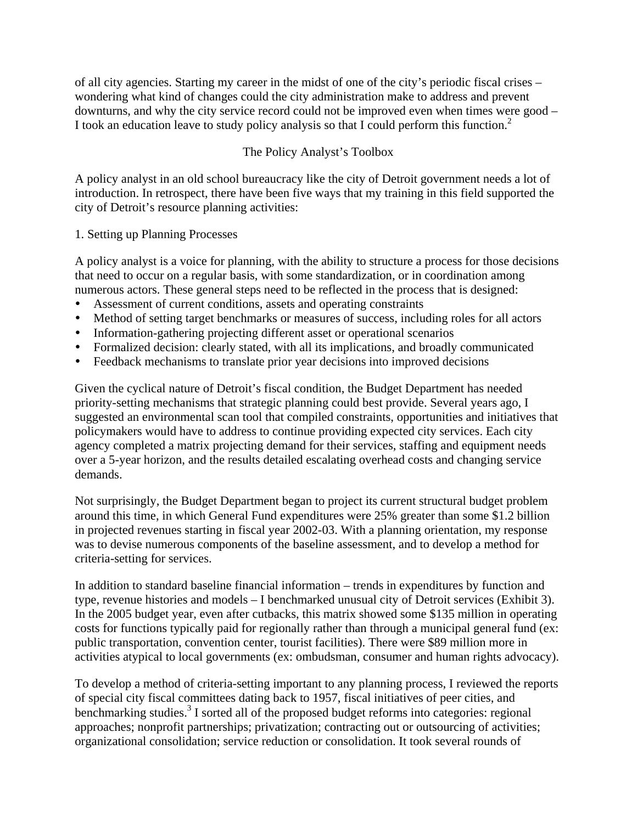of all city agencies. Starting my career in the midst of one of the city's periodic fiscal crises – wondering what kind of changes could the city administration make to address and prevent downturns, and why the city service record could not be improved even when times were good – I took an education leave to study policy analysis so that I could perform this function.<sup>2</sup>

### The Policy Analyst's Toolbox

A policy analyst in an old school bureaucracy like the city of Detroit government needs a lot of introduction. In retrospect, there have been five ways that my training in this field supported the city of Detroit's resource planning activities:

#### 1. Setting up Planning Processes

A policy analyst is a voice for planning, with the ability to structure a process for those decisions that need to occur on a regular basis, with some standardization, or in coordination among numerous actors. These general steps need to be reflected in the process that is designed:

- Assessment of current conditions, assets and operating constraints
- Method of setting target benchmarks or measures of success, including roles for all actors
- Information-gathering projecting different asset or operational scenarios
- Formalized decision: clearly stated, with all its implications, and broadly communicated
- Feedback mechanisms to translate prior year decisions into improved decisions

Given the cyclical nature of Detroit's fiscal condition, the Budget Department has needed priority-setting mechanisms that strategic planning could best provide. Several years ago, I suggested an environmental scan tool that compiled constraints, opportunities and initiatives that policymakers would have to address to continue providing expected city services. Each city agency completed a matrix projecting demand for their services, staffing and equipment needs over a 5-year horizon, and the results detailed escalating overhead costs and changing service demands.

Not surprisingly, the Budget Department began to project its current structural budget problem around this time, in which General Fund expenditures were 25% greater than some \$1.2 billion in projected revenues starting in fiscal year 2002-03. With a planning orientation, my response was to devise numerous components of the baseline assessment, and to develop a method for criteria-setting for services.

In addition to standard baseline financial information – trends in expenditures by function and type, revenue histories and models – I benchmarked unusual city of Detroit services (Exhibit 3). In the 2005 budget year, even after cutbacks, this matrix showed some \$135 million in operating costs for functions typically paid for regionally rather than through a municipal general fund (ex: public transportation, convention center, tourist facilities). There were \$89 million more in activities atypical to local governments (ex: ombudsman, consumer and human rights advocacy).

To develop a method of criteria-setting important to any planning process, I reviewed the reports of special city fiscal committees dating back to 1957, fiscal initiatives of peer cities, and benchmarking studies.<sup>3</sup> I sorted all of the proposed budget reforms into categories: regional approaches; nonprofit partnerships; privatization; contracting out or outsourcing of activities; organizational consolidation; service reduction or consolidation. It took several rounds of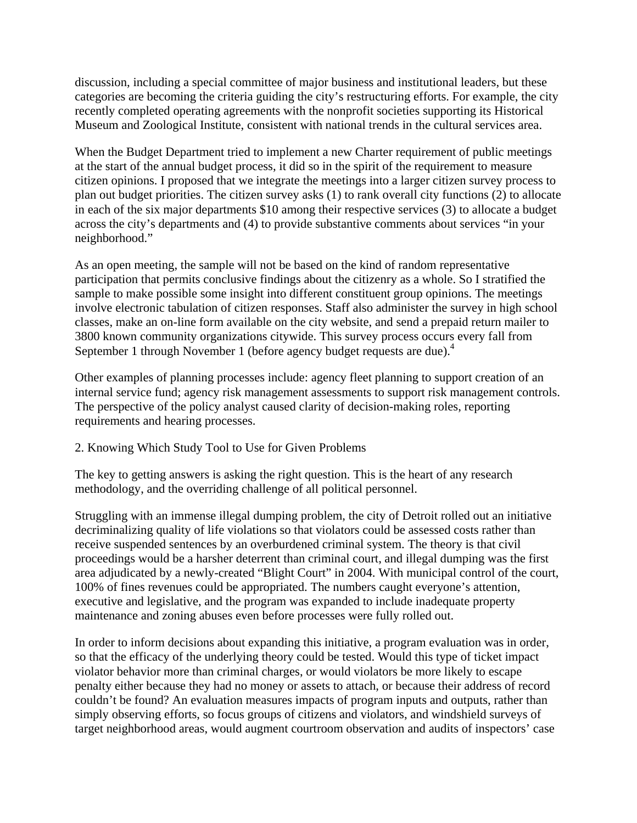discussion, including a special committee of major business and institutional leaders, but these categories are becoming the criteria guiding the city's restructuring efforts. For example, the city recently completed operating agreements with the nonprofit societies supporting its Historical Museum and Zoological Institute, consistent with national trends in the cultural services area.

When the Budget Department tried to implement a new Charter requirement of public meetings at the start of the annual budget process, it did so in the spirit of the requirement to measure citizen opinions. I proposed that we integrate the meetings into a larger citizen survey process to plan out budget priorities. The citizen survey asks (1) to rank overall city functions (2) to allocate in each of the six major departments \$10 among their respective services (3) to allocate a budget across the city's departments and (4) to provide substantive comments about services "in your neighborhood."

As an open meeting, the sample will not be based on the kind of random representative participation that permits conclusive findings about the citizenry as a whole. So I stratified the sample to make possible some insight into different constituent group opinions. The meetings involve electronic tabulation of citizen responses. Staff also administer the survey in high school classes, make an on-line form available on the city website, and send a prepaid return mailer to 3800 known community organizations citywide. This survey process occurs every fall from September 1 through November 1 (before agency budget requests are due).<sup>4</sup>

Other examples of planning processes include: agency fleet planning to support creation of an internal service fund; agency risk management assessments to support risk management controls. The perspective of the policy analyst caused clarity of decision-making roles, reporting requirements and hearing processes.

#### 2. Knowing Which Study Tool to Use for Given Problems

The key to getting answers is asking the right question. This is the heart of any research methodology, and the overriding challenge of all political personnel.

Struggling with an immense illegal dumping problem, the city of Detroit rolled out an initiative decriminalizing quality of life violations so that violators could be assessed costs rather than receive suspended sentences by an overburdened criminal system. The theory is that civil proceedings would be a harsher deterrent than criminal court, and illegal dumping was the first area adjudicated by a newly-created "Blight Court" in 2004. With municipal control of the court, 100% of fines revenues could be appropriated. The numbers caught everyone's attention, executive and legislative, and the program was expanded to include inadequate property maintenance and zoning abuses even before processes were fully rolled out.

In order to inform decisions about expanding this initiative, a program evaluation was in order, so that the efficacy of the underlying theory could be tested. Would this type of ticket impact violator behavior more than criminal charges, or would violators be more likely to escape penalty either because they had no money or assets to attach, or because their address of record couldn't be found? An evaluation measures impacts of program inputs and outputs, rather than simply observing efforts, so focus groups of citizens and violators, and windshield surveys of target neighborhood areas, would augment courtroom observation and audits of inspectors' case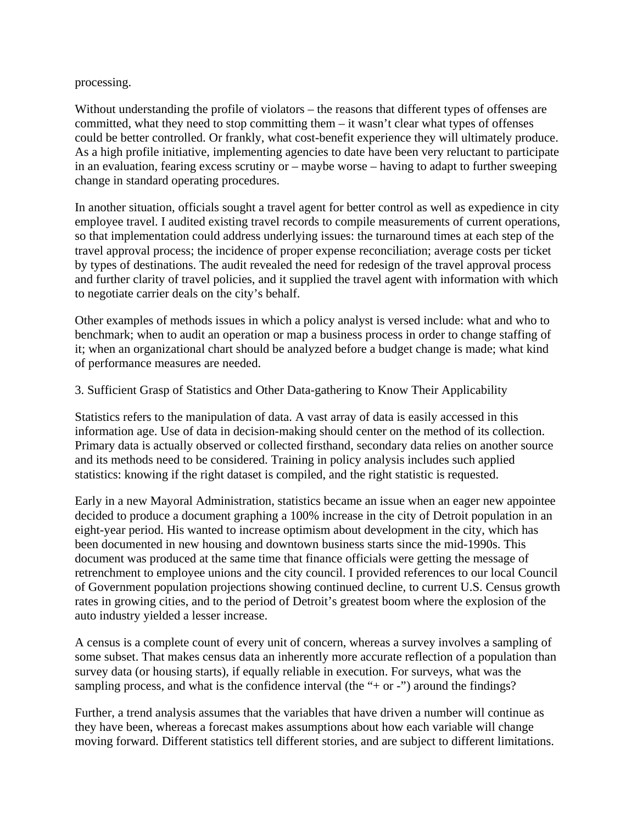processing.

Without understanding the profile of violators – the reasons that different types of offenses are committed, what they need to stop committing them – it wasn't clear what types of offenses could be better controlled. Or frankly, what cost-benefit experience they will ultimately produce. As a high profile initiative, implementing agencies to date have been very reluctant to participate in an evaluation, fearing excess scrutiny or – maybe worse – having to adapt to further sweeping change in standard operating procedures.

In another situation, officials sought a travel agent for better control as well as expedience in city employee travel. I audited existing travel records to compile measurements of current operations, so that implementation could address underlying issues: the turnaround times at each step of the travel approval process; the incidence of proper expense reconciliation; average costs per ticket by types of destinations. The audit revealed the need for redesign of the travel approval process and further clarity of travel policies, and it supplied the travel agent with information with which to negotiate carrier deals on the city's behalf.

Other examples of methods issues in which a policy analyst is versed include: what and who to benchmark; when to audit an operation or map a business process in order to change staffing of it; when an organizational chart should be analyzed before a budget change is made; what kind of performance measures are needed.

3. Sufficient Grasp of Statistics and Other Data-gathering to Know Their Applicability

Statistics refers to the manipulation of data. A vast array of data is easily accessed in this information age. Use of data in decision-making should center on the method of its collection. Primary data is actually observed or collected firsthand, secondary data relies on another source and its methods need to be considered. Training in policy analysis includes such applied statistics: knowing if the right dataset is compiled, and the right statistic is requested.

Early in a new Mayoral Administration, statistics became an issue when an eager new appointee decided to produce a document graphing a 100% increase in the city of Detroit population in an eight-year period. His wanted to increase optimism about development in the city, which has been documented in new housing and downtown business starts since the mid-1990s. This document was produced at the same time that finance officials were getting the message of retrenchment to employee unions and the city council. I provided references to our local Council of Government population projections showing continued decline, to current U.S. Census growth rates in growing cities, and to the period of Detroit's greatest boom where the explosion of the auto industry yielded a lesser increase.

A census is a complete count of every unit of concern, whereas a survey involves a sampling of some subset. That makes census data an inherently more accurate reflection of a population than survey data (or housing starts), if equally reliable in execution. For surveys, what was the sampling process, and what is the confidence interval (the "+ or -") around the findings?

Further, a trend analysis assumes that the variables that have driven a number will continue as they have been, whereas a forecast makes assumptions about how each variable will change moving forward. Different statistics tell different stories, and are subject to different limitations.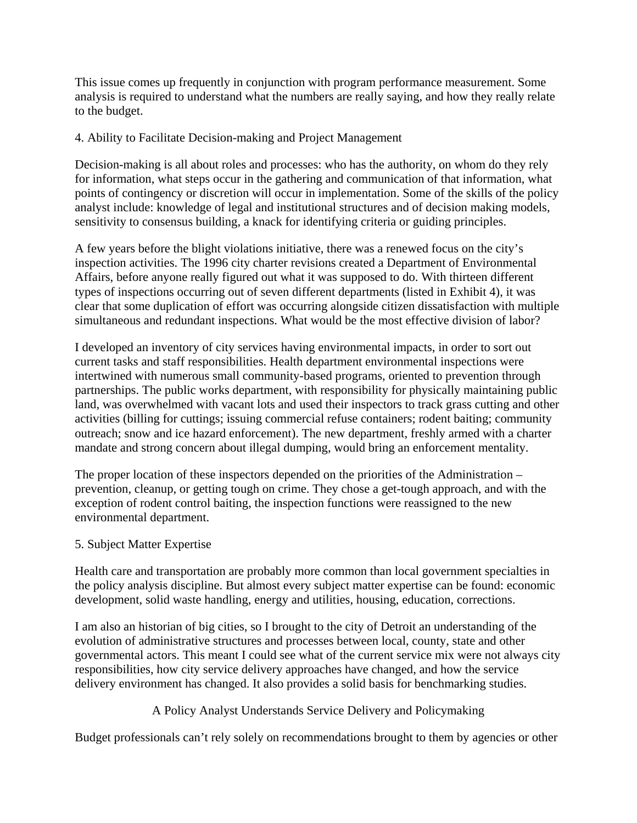This issue comes up frequently in conjunction with program performance measurement. Some analysis is required to understand what the numbers are really saying, and how they really relate to the budget.

#### 4. Ability to Facilitate Decision-making and Project Management

Decision-making is all about roles and processes: who has the authority, on whom do they rely for information, what steps occur in the gathering and communication of that information, what points of contingency or discretion will occur in implementation. Some of the skills of the policy analyst include: knowledge of legal and institutional structures and of decision making models, sensitivity to consensus building, a knack for identifying criteria or guiding principles.

A few years before the blight violations initiative, there was a renewed focus on the city's inspection activities. The 1996 city charter revisions created a Department of Environmental Affairs, before anyone really figured out what it was supposed to do. With thirteen different types of inspections occurring out of seven different departments (listed in Exhibit 4), it was clear that some duplication of effort was occurring alongside citizen dissatisfaction with multiple simultaneous and redundant inspections. What would be the most effective division of labor?

I developed an inventory of city services having environmental impacts, in order to sort out current tasks and staff responsibilities. Health department environmental inspections were intertwined with numerous small community-based programs, oriented to prevention through partnerships. The public works department, with responsibility for physically maintaining public land, was overwhelmed with vacant lots and used their inspectors to track grass cutting and other activities (billing for cuttings; issuing commercial refuse containers; rodent baiting; community outreach; snow and ice hazard enforcement). The new department, freshly armed with a charter mandate and strong concern about illegal dumping, would bring an enforcement mentality.

The proper location of these inspectors depended on the priorities of the Administration – prevention, cleanup, or getting tough on crime. They chose a get-tough approach, and with the exception of rodent control baiting, the inspection functions were reassigned to the new environmental department.

#### 5. Subject Matter Expertise

Health care and transportation are probably more common than local government specialties in the policy analysis discipline. But almost every subject matter expertise can be found: economic development, solid waste handling, energy and utilities, housing, education, corrections.

I am also an historian of big cities, so I brought to the city of Detroit an understanding of the evolution of administrative structures and processes between local, county, state and other governmental actors. This meant I could see what of the current service mix were not always city responsibilities, how city service delivery approaches have changed, and how the service delivery environment has changed. It also provides a solid basis for benchmarking studies.

#### A Policy Analyst Understands Service Delivery and Policymaking

Budget professionals can't rely solely on recommendations brought to them by agencies or other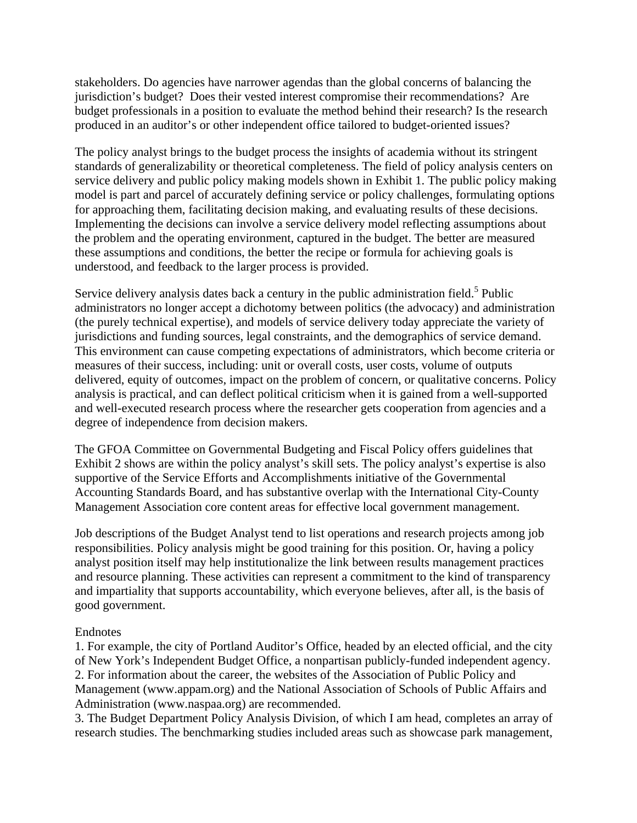stakeholders. Do agencies have narrower agendas than the global concerns of balancing the jurisdiction's budget? Does their vested interest compromise their recommendations? Are budget professionals in a position to evaluate the method behind their research? Is the research produced in an auditor's or other independent office tailored to budget-oriented issues?

The policy analyst brings to the budget process the insights of academia without its stringent standards of generalizability or theoretical completeness. The field of policy analysis centers on service delivery and public policy making models shown in Exhibit 1. The public policy making model is part and parcel of accurately defining service or policy challenges, formulating options for approaching them, facilitating decision making, and evaluating results of these decisions. Implementing the decisions can involve a service delivery model reflecting assumptions about the problem and the operating environment, captured in the budget. The better are measured these assumptions and conditions, the better the recipe or formula for achieving goals is understood, and feedback to the larger process is provided.

Service delivery analysis dates back a century in the public administration field.<sup>5</sup> Public administrators no longer accept a dichotomy between politics (the advocacy) and administration (the purely technical expertise), and models of service delivery today appreciate the variety of jurisdictions and funding sources, legal constraints, and the demographics of service demand. This environment can cause competing expectations of administrators, which become criteria or measures of their success, including: unit or overall costs, user costs, volume of outputs delivered, equity of outcomes, impact on the problem of concern, or qualitative concerns. Policy analysis is practical, and can deflect political criticism when it is gained from a well-supported and well-executed research process where the researcher gets cooperation from agencies and a degree of independence from decision makers.

The GFOA Committee on Governmental Budgeting and Fiscal Policy offers guidelines that Exhibit 2 shows are within the policy analyst's skill sets. The policy analyst's expertise is also supportive of the Service Efforts and Accomplishments initiative of the Governmental Accounting Standards Board, and has substantive overlap with the International City-County Management Association core content areas for effective local government management.

Job descriptions of the Budget Analyst tend to list operations and research projects among job responsibilities. Policy analysis might be good training for this position. Or, having a policy analyst position itself may help institutionalize the link between results management practices and resource planning. These activities can represent a commitment to the kind of transparency and impartiality that supports accountability, which everyone believes, after all, is the basis of good government.

#### Endnotes

1. For example, the city of Portland Auditor's Office, headed by an elected official, and the city of New York's Independent Budget Office, a nonpartisan publicly-funded independent agency. 2. For information about the career, the websites of the Association of Public Policy and Management (www.appam.org) and the National Association of Schools of Public Affairs and Administration (www.naspaa.org) are recommended.

3. The Budget Department Policy Analysis Division, of which I am head, completes an array of research studies. The benchmarking studies included areas such as showcase park management,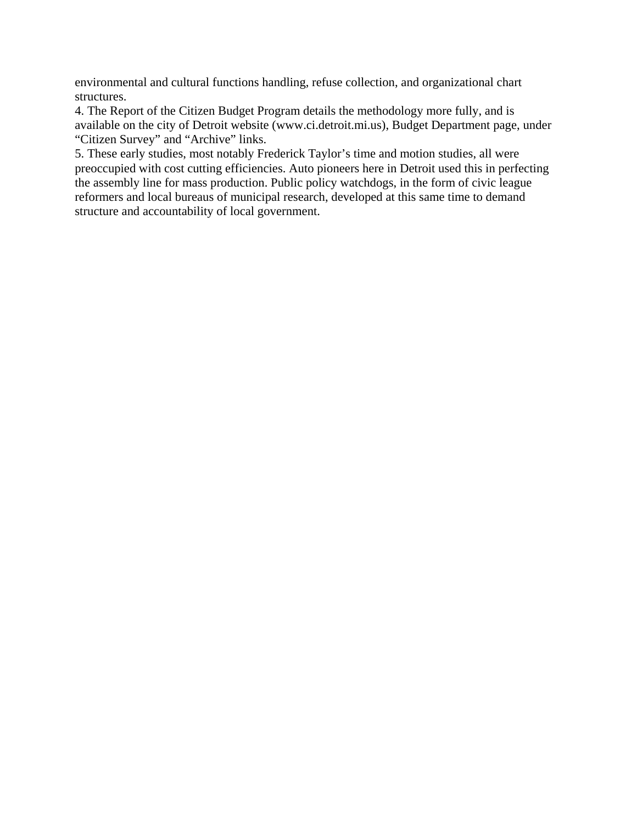environmental and cultural functions handling, refuse collection, and organizational chart structures.

4. The Report of the Citizen Budget Program details the methodology more fully, and is available on the city of Detroit website (www.ci.detroit.mi.us), Budget Department page, under "Citizen Survey" and "Archive" links.

5. These early studies, most notably Frederick Taylor's time and motion studies, all were preoccupied with cost cutting efficiencies. Auto pioneers here in Detroit used this in perfecting the assembly line for mass production. Public policy watchdogs, in the form of civic league reformers and local bureaus of municipal research, developed at this same time to demand structure and accountability of local government.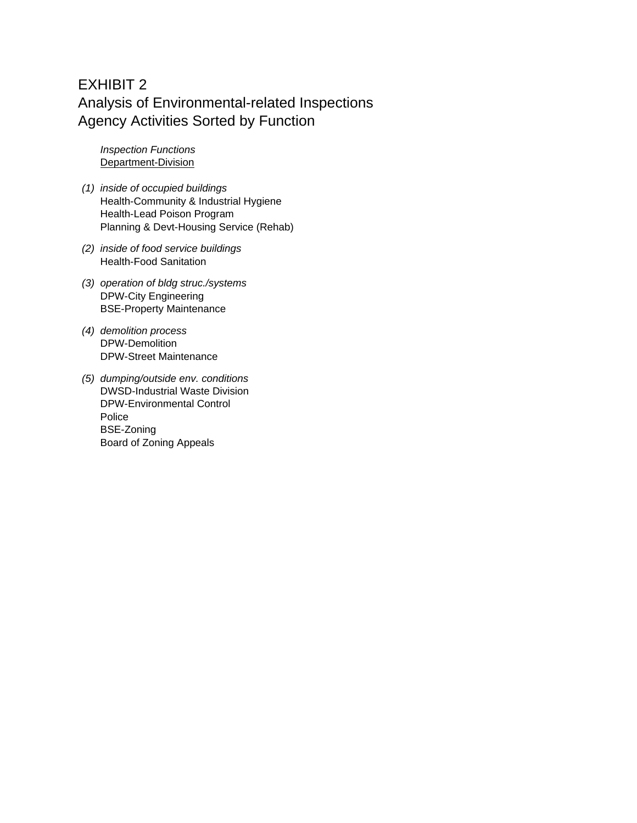# EXHIBIT 2 Analysis of Environmental-related Inspections Agency Activities Sorted by Function

*Inspection Functions* Department-Division

- *(1) inside of occupied buildings* Health-Community & Industrial Hygiene Health-Lead Poison Program Planning & Devt-Housing Service (Rehab)
- *(2) inside of food service buildings* Health-Food Sanitation
- *(3) operation of bldg struc./systems* DPW-City Engineering BSE-Property Maintenance
- *(4) demolition process* DPW-Demolition DPW-Street Maintenance
- *(5) dumping/outside env. conditions* DWSD-Industrial Waste Division DPW-Environmental Control Police BSE-Zoning Board of Zoning Appeals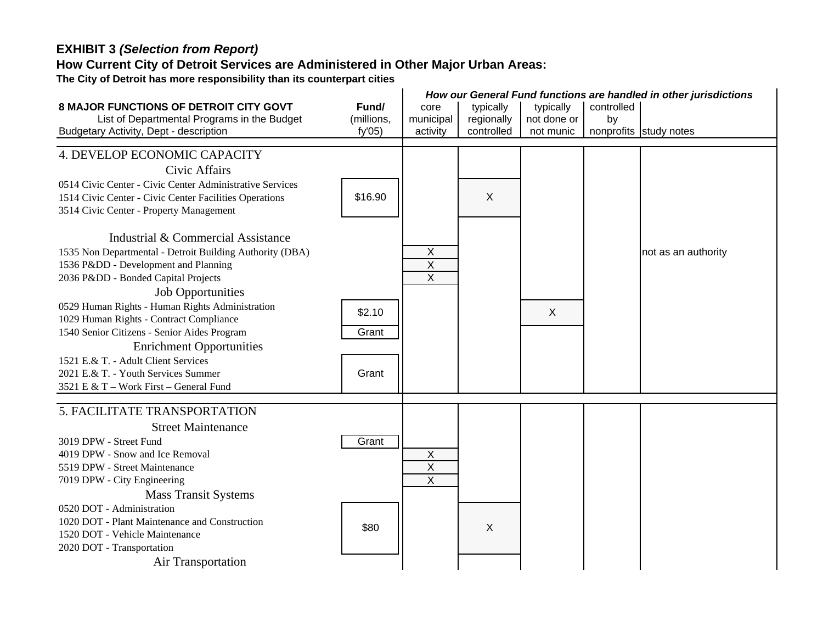## **How Current City of Detroit Services are Administered in Other Major Urban Areas:**

|                                                             |            | How our General Fund functions are handled in other jurisdictions |            |             |            |                        |
|-------------------------------------------------------------|------------|-------------------------------------------------------------------|------------|-------------|------------|------------------------|
| <b>8 MAJOR FUNCTIONS OF DETROIT CITY GOVT</b>               | Fund/      | core                                                              | typically  | typically   | controlled |                        |
| List of Departmental Programs in the Budget                 | (millions, | municipal                                                         | regionally | not done or | by         |                        |
| Budgetary Activity, Dept - description                      | fy'05      | activity                                                          | controlled | not munic   |            | nonprofits study notes |
| 4. DEVELOP ECONOMIC CAPACITY                                |            |                                                                   |            |             |            |                        |
| Civic Affairs                                               |            |                                                                   |            |             |            |                        |
| 0514 Civic Center - Civic Center Administrative Services    |            |                                                                   |            |             |            |                        |
| 1514 Civic Center - Civic Center Facilities Operations      | \$16.90    |                                                                   | X          |             |            |                        |
| 3514 Civic Center - Property Management                     |            |                                                                   |            |             |            |                        |
|                                                             |            |                                                                   |            |             |            |                        |
| Industrial & Commercial Assistance                          |            |                                                                   |            |             |            |                        |
| 1535 Non Departmental - Detroit Building Authority (DBA)    |            | $\sf X$                                                           |            |             |            | not as an authority    |
| 1536 Pⅅ - Development and Planning                          |            | $\mathsf X$                                                       |            |             |            |                        |
| 2036 Pⅅ - Bonded Capital Projects                           |            | $\mathsf{X}$                                                      |            |             |            |                        |
| <b>Job Opportunities</b>                                    |            |                                                                   |            |             |            |                        |
| 0529 Human Rights - Human Rights Administration             |            |                                                                   |            |             |            |                        |
| 1029 Human Rights - Contract Compliance                     | \$2.10     |                                                                   |            | X           |            |                        |
| 1540 Senior Citizens - Senior Aides Program                 | Grant      |                                                                   |            |             |            |                        |
| <b>Enrichment Opportunities</b>                             |            |                                                                   |            |             |            |                        |
| 1521 E.& T. - Adult Client Services                         |            |                                                                   |            |             |            |                        |
| 2021 E.& T. - Youth Services Summer                         | Grant      |                                                                   |            |             |            |                        |
| 3521 E & T - Work First - General Fund                      |            |                                                                   |            |             |            |                        |
|                                                             |            |                                                                   |            |             |            |                        |
| 5. FACILITATE TRANSPORTATION                                |            |                                                                   |            |             |            |                        |
| <b>Street Maintenance</b>                                   |            |                                                                   |            |             |            |                        |
| 3019 DPW - Street Fund                                      | Grant      |                                                                   |            |             |            |                        |
| 4019 DPW - Snow and Ice Removal                             |            | Χ                                                                 |            |             |            |                        |
| 5519 DPW - Street Maintenance                               |            | $\overline{X}$<br>$\overline{X}$                                  |            |             |            |                        |
| 7019 DPW - City Engineering                                 |            |                                                                   |            |             |            |                        |
| <b>Mass Transit Systems</b>                                 |            |                                                                   |            |             |            |                        |
| 0520 DOT - Administration                                   |            |                                                                   |            |             |            |                        |
| 1020 DOT - Plant Maintenance and Construction               | \$80       |                                                                   | X          |             |            |                        |
| 1520 DOT - Vehicle Maintenance<br>2020 DOT - Transportation |            |                                                                   |            |             |            |                        |
|                                                             |            |                                                                   |            |             |            |                        |
| Air Transportation                                          |            |                                                                   |            |             |            |                        |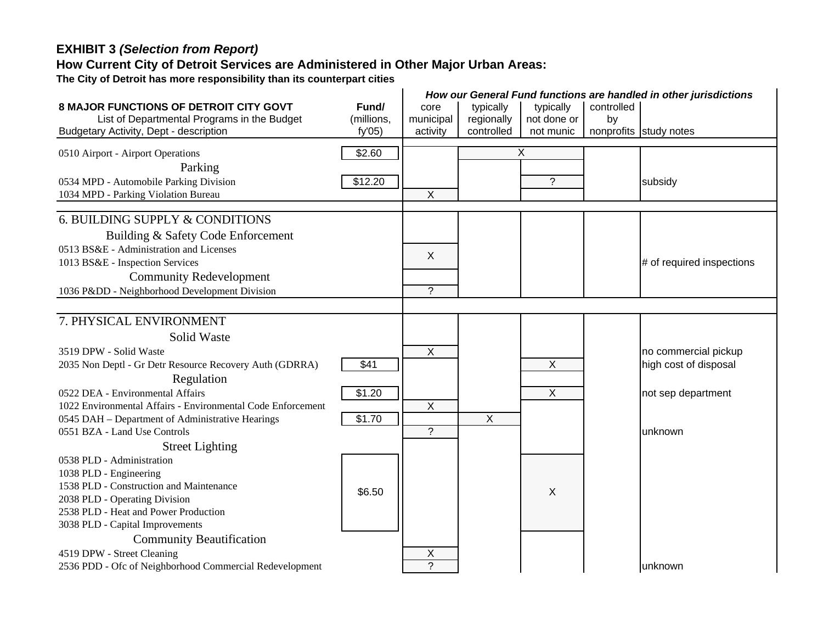# **How Current City of Detroit Services are Administered in Other Major Urban Areas:**

|                                                             |            | How our General Fund functions are handled in other jurisdictions |              |                          |            |                           |
|-------------------------------------------------------------|------------|-------------------------------------------------------------------|--------------|--------------------------|------------|---------------------------|
| <b>8 MAJOR FUNCTIONS OF DETROIT CITY GOVT</b>               | Fund/      | core                                                              | typically    | typically                | controlled |                           |
| List of Departmental Programs in the Budget                 | (millions, | municipal                                                         | regionally   | not done or              | by         |                           |
| Budgetary Activity, Dept - description                      | fy'05      | activity                                                          | controlled   | not munic                |            | nonprofits study notes    |
|                                                             | \$2.60     |                                                                   |              | X                        |            |                           |
| 0510 Airport - Airport Operations                           |            |                                                                   |              |                          |            |                           |
| Parking                                                     |            |                                                                   |              |                          |            |                           |
| 0534 MPD - Automobile Parking Division                      | \$12.20    |                                                                   |              | $\overline{\mathcal{E}}$ |            | subsidy                   |
| 1034 MPD - Parking Violation Bureau                         |            | $\overline{X}$                                                    |              |                          |            |                           |
| <b>6. BUILDING SUPPLY &amp; CONDITIONS</b>                  |            |                                                                   |              |                          |            |                           |
|                                                             |            |                                                                   |              |                          |            |                           |
| Building & Safety Code Enforcement                          |            |                                                                   |              |                          |            |                           |
| 0513 BS&E - Administration and Licenses                     |            | X                                                                 |              |                          |            |                           |
| 1013 BS&E - Inspection Services                             |            |                                                                   |              |                          |            | # of required inspections |
| <b>Community Redevelopment</b>                              |            |                                                                   |              |                          |            |                           |
| 1036 Pⅅ - Neighborhood Development Division                 |            | $\mathcal{P}$                                                     |              |                          |            |                           |
|                                                             |            |                                                                   |              |                          |            |                           |
| 7. PHYSICAL ENVIRONMENT                                     |            |                                                                   |              |                          |            |                           |
| Solid Waste                                                 |            |                                                                   |              |                          |            |                           |
| 3519 DPW - Solid Waste                                      |            | $\pmb{\times}$                                                    |              |                          |            | no commercial pickup      |
| 2035 Non Deptl - Gr Detr Resource Recovery Auth (GDRRA)     | \$41       |                                                                   |              | X                        |            | high cost of disposal     |
| Regulation                                                  |            |                                                                   |              |                          |            |                           |
| 0522 DEA - Environmental Affairs                            | \$1.20     |                                                                   |              | X                        |            | not sep department        |
| 1022 Environmental Affairs - Environmental Code Enforcement |            | $\overline{X}$                                                    |              |                          |            |                           |
| 0545 DAH - Department of Administrative Hearings            | \$1.70     |                                                                   | $\mathsf{X}$ |                          |            |                           |
| 0551 BZA - Land Use Controls                                |            | $\overline{?}$                                                    |              |                          |            | unknown                   |
| <b>Street Lighting</b>                                      |            |                                                                   |              |                          |            |                           |
| 0538 PLD - Administration                                   |            |                                                                   |              |                          |            |                           |
| 1038 PLD - Engineering                                      |            |                                                                   |              |                          |            |                           |
| 1538 PLD - Construction and Maintenance                     |            |                                                                   |              |                          |            |                           |
| 2038 PLD - Operating Division                               | \$6.50     |                                                                   |              | X                        |            |                           |
| 2538 PLD - Heat and Power Production                        |            |                                                                   |              |                          |            |                           |
| 3038 PLD - Capital Improvements                             |            |                                                                   |              |                          |            |                           |
| <b>Community Beautification</b>                             |            |                                                                   |              |                          |            |                           |
|                                                             |            |                                                                   |              |                          |            |                           |
| 4519 DPW - Street Cleaning                                  |            | X<br>$\tilde{?}$                                                  |              |                          |            |                           |
| 2536 PDD - Ofc of Neighborhood Commercial Redevelopment     |            |                                                                   |              |                          |            | unknown                   |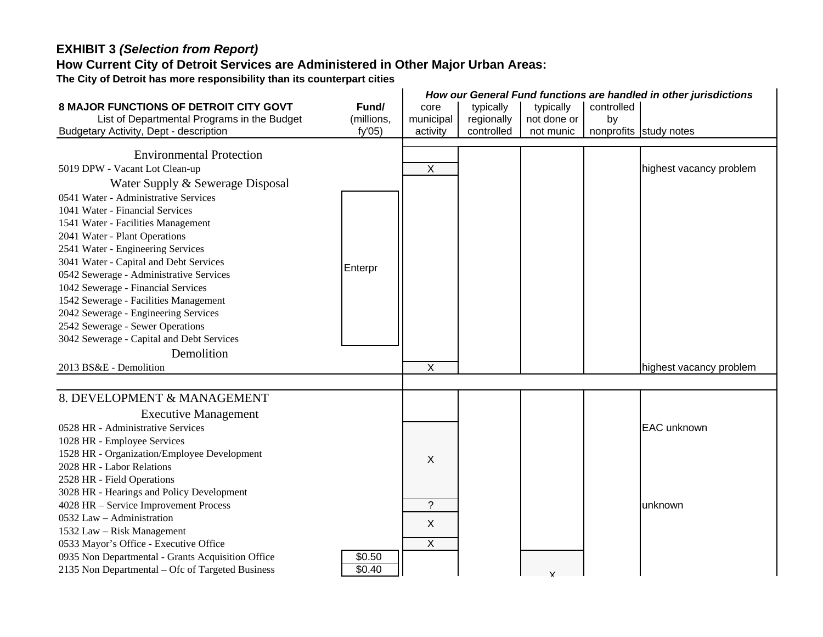# **How Current City of Detroit Services are Administered in Other Major Urban Areas:**

|                                                                               |            | How our General Fund functions are handled in other jurisdictions |            |             |            |                         |
|-------------------------------------------------------------------------------|------------|-------------------------------------------------------------------|------------|-------------|------------|-------------------------|
| <b>8 MAJOR FUNCTIONS OF DETROIT CITY GOVT</b>                                 | Fund/      | core                                                              | typically  | typically   | controlled |                         |
| List of Departmental Programs in the Budget                                   | (millions, | municipal                                                         | regionally | not done or | by         |                         |
| Budgetary Activity, Dept - description                                        | fy'05      | activity                                                          | controlled | not munic   |            | nonprofits study notes  |
| <b>Environmental Protection</b>                                               |            |                                                                   |            |             |            |                         |
| 5019 DPW - Vacant Lot Clean-up                                                |            | X                                                                 |            |             |            | highest vacancy problem |
| Water Supply & Sewerage Disposal                                              |            |                                                                   |            |             |            |                         |
| 0541 Water - Administrative Services                                          |            |                                                                   |            |             |            |                         |
| 1041 Water - Financial Services                                               |            |                                                                   |            |             |            |                         |
| 1541 Water - Facilities Management                                            |            |                                                                   |            |             |            |                         |
| 2041 Water - Plant Operations                                                 |            |                                                                   |            |             |            |                         |
| 2541 Water - Engineering Services                                             |            |                                                                   |            |             |            |                         |
| 3041 Water - Capital and Debt Services                                        | Enterpr    |                                                                   |            |             |            |                         |
| 0542 Sewerage - Administrative Services<br>1042 Sewerage - Financial Services |            |                                                                   |            |             |            |                         |
| 1542 Sewerage - Facilities Management                                         |            |                                                                   |            |             |            |                         |
| 2042 Sewerage - Engineering Services                                          |            |                                                                   |            |             |            |                         |
| 2542 Sewerage - Sewer Operations                                              |            |                                                                   |            |             |            |                         |
| 3042 Sewerage - Capital and Debt Services                                     |            |                                                                   |            |             |            |                         |
| Demolition                                                                    |            |                                                                   |            |             |            |                         |
| 2013 BS&E - Demolition                                                        |            | $\overline{\mathsf{X}}$                                           |            |             |            | highest vacancy problem |
|                                                                               |            |                                                                   |            |             |            |                         |
| 8. DEVELOPMENT & MANAGEMENT                                                   |            |                                                                   |            |             |            |                         |
| <b>Executive Management</b>                                                   |            |                                                                   |            |             |            |                         |
| 0528 HR - Administrative Services                                             |            |                                                                   |            |             |            | EAC unknown             |
| 1028 HR - Employee Services                                                   |            |                                                                   |            |             |            |                         |
| 1528 HR - Organization/Employee Development                                   |            | X                                                                 |            |             |            |                         |
| 2028 HR - Labor Relations                                                     |            |                                                                   |            |             |            |                         |
| 2528 HR - Field Operations                                                    |            |                                                                   |            |             |            |                         |
| 3028 HR - Hearings and Policy Development                                     |            |                                                                   |            |             |            |                         |
| 4028 HR - Service Improvement Process                                         |            | $\tilde{?}$                                                       |            |             |            | unknown                 |
| 0532 Law - Administration                                                     |            | X                                                                 |            |             |            |                         |
| 1532 Law - Risk Management<br>0533 Mayor's Office - Executive Office          |            | X                                                                 |            |             |            |                         |
| 0935 Non Departmental - Grants Acquisition Office                             | \$0.50     |                                                                   |            |             |            |                         |
| 2135 Non Departmental – Ofc of Targeted Business                              | \$0.40     |                                                                   |            |             |            |                         |
|                                                                               |            |                                                                   |            |             |            |                         |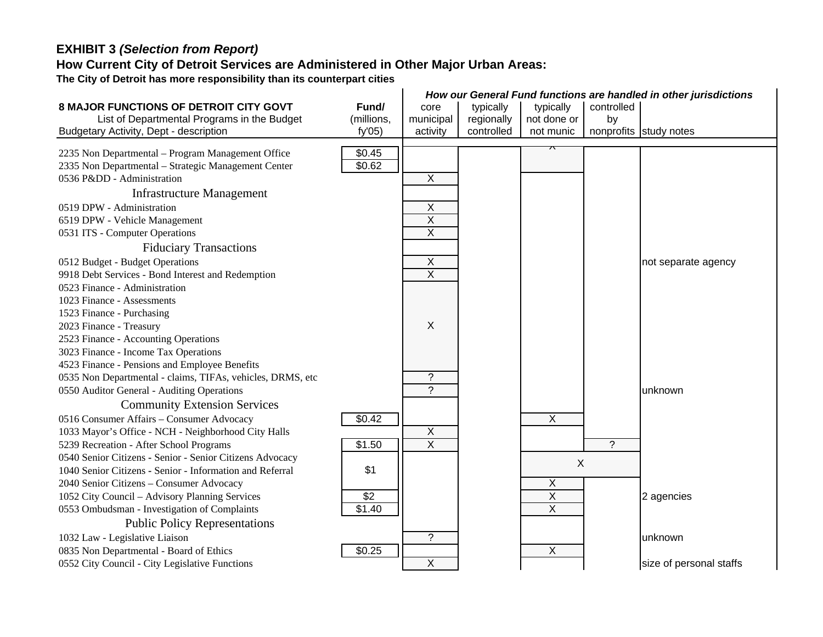# **How Current City of Detroit Services are Administered in Other Major Urban Areas:**

|                                                            |                  | How our General Fund functions are handled in other jurisdictions |            |                           |                          |                         |
|------------------------------------------------------------|------------------|-------------------------------------------------------------------|------------|---------------------------|--------------------------|-------------------------|
| 8 MAJOR FUNCTIONS OF DETROIT CITY GOVT                     | Fund/            | core                                                              | typically  | typically                 | controlled               |                         |
| List of Departmental Programs in the Budget                | (millions,       | municipal                                                         | regionally | not done or               | by                       |                         |
| Budgetary Activity, Dept - description                     | fy'05            | activity                                                          | controlled | not munic                 |                          | nonprofits study notes  |
| 2235 Non Departmental - Program Management Office          | \$0.45           |                                                                   |            | ∧                         |                          |                         |
| 2335 Non Departmental - Strategic Management Center        | \$0.62           |                                                                   |            |                           |                          |                         |
| 0536 Pⅅ - Administration                                   |                  | X                                                                 |            |                           |                          |                         |
| <b>Infrastructure Management</b>                           |                  |                                                                   |            |                           |                          |                         |
| 0519 DPW - Administration                                  |                  | X                                                                 |            |                           |                          |                         |
| 6519 DPW - Vehicle Management                              |                  | $\overline{X}$                                                    |            |                           |                          |                         |
| 0531 ITS - Computer Operations                             |                  | X                                                                 |            |                           |                          |                         |
| <b>Fiduciary Transactions</b>                              |                  |                                                                   |            |                           |                          |                         |
| 0512 Budget - Budget Operations                            |                  | $\overline{\mathsf{X}}$                                           |            |                           |                          | not separate agency     |
| 9918 Debt Services - Bond Interest and Redemption          |                  | $\overline{\mathsf{x}}$                                           |            |                           |                          |                         |
| 0523 Finance - Administration                              |                  |                                                                   |            |                           |                          |                         |
| 1023 Finance - Assessments                                 |                  |                                                                   |            |                           |                          |                         |
| 1523 Finance - Purchasing                                  |                  |                                                                   |            |                           |                          |                         |
| 2023 Finance - Treasury                                    |                  | X                                                                 |            |                           |                          |                         |
| 2523 Finance - Accounting Operations                       |                  |                                                                   |            |                           |                          |                         |
| 3023 Finance - Income Tax Operations                       |                  |                                                                   |            |                           |                          |                         |
| 4523 Finance - Pensions and Employee Benefits              |                  |                                                                   |            |                           |                          |                         |
| 0535 Non Departmental - claims, TIFAs, vehicles, DRMS, etc |                  | ?                                                                 |            |                           |                          |                         |
| 0550 Auditor General - Auditing Operations                 |                  | $\gamma$                                                          |            |                           |                          | unknown                 |
| <b>Community Extension Services</b>                        |                  |                                                                   |            |                           |                          |                         |
| 0516 Consumer Affairs - Consumer Advocacy                  | \$0.42           |                                                                   |            | $\mathsf X$               |                          |                         |
| 1033 Mayor's Office - NCH - Neighborhood City Halls        |                  | $\overline{\mathsf{X}}$                                           |            |                           |                          |                         |
| 5239 Recreation - After School Programs                    | \$1.50           | $\overline{X}$                                                    |            |                           | $\overline{\phantom{0}}$ |                         |
| 0540 Senior Citizens - Senior - Senior Citizens Advocacy   |                  |                                                                   |            | $\boldsymbol{\mathsf{X}}$ |                          |                         |
| 1040 Senior Citizens - Senior - Information and Referral   | \$1              |                                                                   |            |                           |                          |                         |
| 2040 Senior Citizens - Consumer Advocacy                   |                  |                                                                   |            | X                         |                          |                         |
| 1052 City Council - Advisory Planning Services             | $\overline{$2$}$ |                                                                   |            | $\overline{\mathsf{x}}$   |                          | 2 agencies              |
| 0553 Ombudsman - Investigation of Complaints               | \$1.40           |                                                                   |            | $\overline{\mathsf{x}}$   |                          |                         |
| <b>Public Policy Representations</b>                       |                  |                                                                   |            |                           |                          |                         |
| 1032 Law - Legislative Liaison                             |                  | $\overline{?}$                                                    |            |                           |                          | unknown                 |
| 0835 Non Departmental - Board of Ethics                    | \$0.25           |                                                                   |            | X                         |                          |                         |
| 0552 City Council - City Legislative Functions             |                  | X                                                                 |            |                           |                          | size of personal staffs |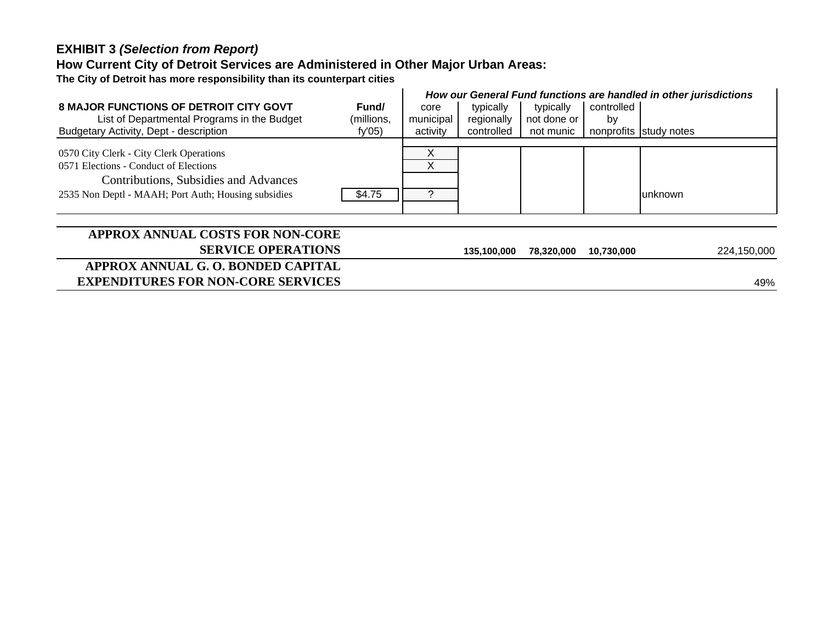# **How Current City of Detroit Services are Administered in Other Major Urban Areas:**

|                                                     |            | How our General Fund functions are handled in other jurisdictions |             |             |            |                        |
|-----------------------------------------------------|------------|-------------------------------------------------------------------|-------------|-------------|------------|------------------------|
| <b>8 MAJOR FUNCTIONS OF DETROIT CITY GOVT</b>       | Fund/      | core                                                              | typically   | typically   | controlled |                        |
| List of Departmental Programs in the Budget         | (millions, | municipal                                                         | regionally  | not done or | by         |                        |
| Budgetary Activity, Dept - description              | fy'05      | activity                                                          | controlled  | not munic   |            | nonprofits study notes |
|                                                     |            |                                                                   |             |             |            |                        |
| 0570 City Clerk - City Clerk Operations             |            |                                                                   |             |             |            |                        |
| 0571 Elections - Conduct of Elections               |            | X                                                                 |             |             |            |                        |
| Contributions, Subsidies and Advances               |            |                                                                   |             |             |            |                        |
| 2535 Non Deptl - MAAH; Port Auth; Housing subsidies | \$4.75     |                                                                   |             |             |            | unknown                |
|                                                     |            |                                                                   |             |             |            |                        |
|                                                     |            |                                                                   |             |             |            |                        |
| APPROX ANNUAL COSTS FOR NON-CORE                    |            |                                                                   |             |             |            |                        |
| <b>SERVICE OPERATIONS</b>                           |            |                                                                   | 135,100,000 | 78,320,000  | 10,730,000 | 224,150,000            |
| APPROX ANNUAL G. O. BONDED CAPITAL                  |            |                                                                   |             |             |            |                        |
| <b>EXPENDITURES FOR NON-CORE SERVICES</b>           |            |                                                                   |             |             |            | 49%                    |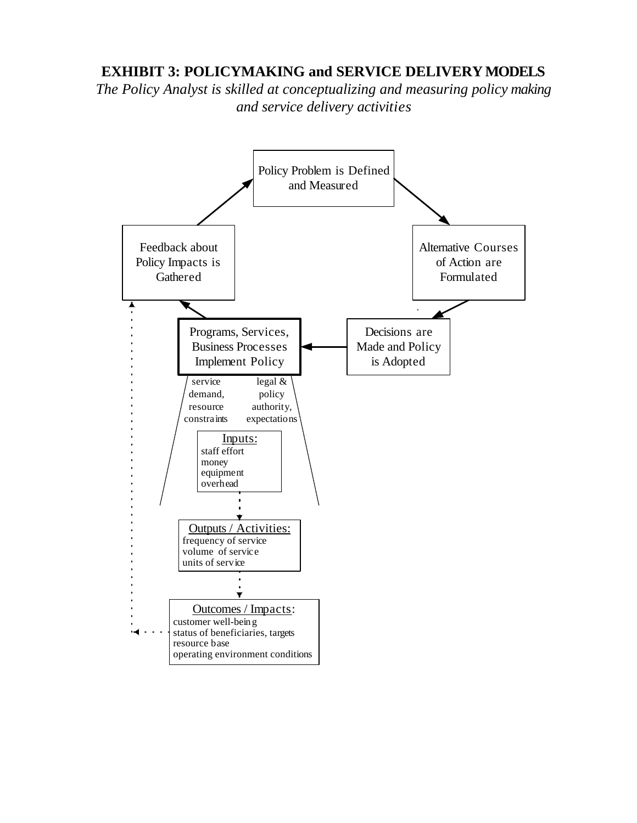## **EXHIBIT 3: POLICYMAKING and SERVICE DELIVERY MODELS**

*The Policy Analyst is skilled at conceptualizing and measuring policy making and service delivery activities*